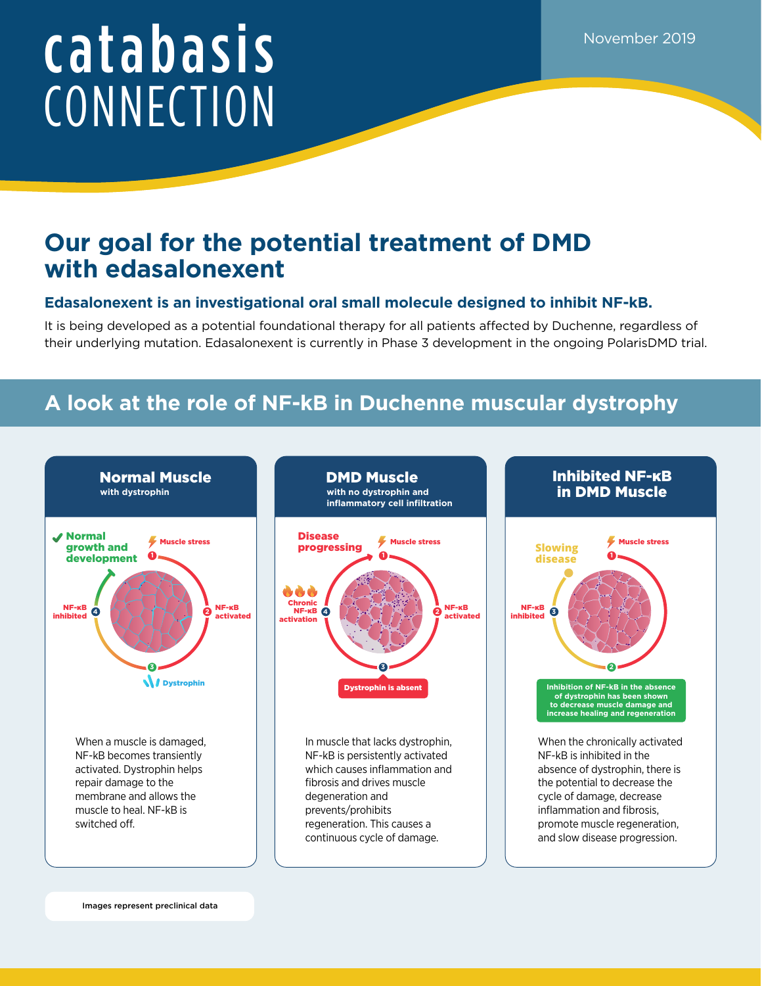# catabasis **CONNECTION**

## **Our goal for the potential treatment of DMD with edasalonexent**

### **Edasalonexent is an investigational oral small molecule designed to inhibit NF-kB.**

It is being developed as a potential foundational therapy for all patients affected by Duchenne, regardless of their underlying mutation. Edasalonexent is currently in Phase 3 development in the ongoing PolarisDMD trial.

## **A look at the role of NF-kB in Duchenne muscular dystrophy**